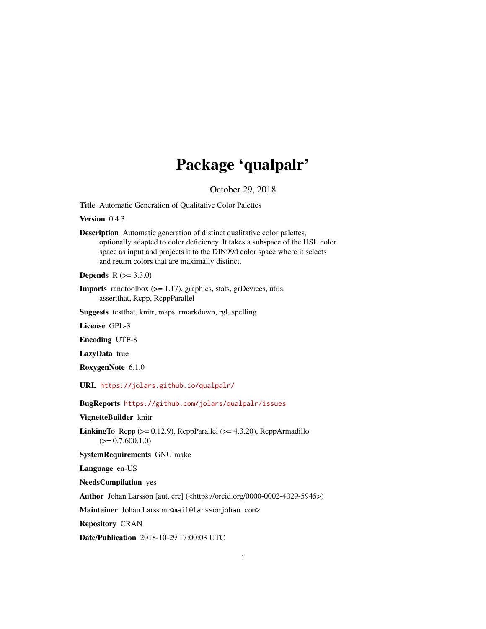## Package 'qualpalr'

October 29, 2018

<span id="page-0-0"></span>Title Automatic Generation of Qualitative Color Palettes

Version 0.4.3

Description Automatic generation of distinct qualitative color palettes, optionally adapted to color deficiency. It takes a subspace of the HSL color space as input and projects it to the DIN99d color space where it selects and return colors that are maximally distinct.

**Depends** R  $(>= 3.3.0)$ 

**Imports** randtoolbox  $(>= 1.17)$ , graphics, stats, grDevices, utils, assertthat, Rcpp, RcppParallel

Suggests testthat, knitr, maps, rmarkdown, rgl, spelling

License GPL-3

Encoding UTF-8

LazyData true

RoxygenNote 6.1.0

URL <https://jolars.github.io/qualpalr/>

BugReports <https://github.com/jolars/qualpalr/issues>

VignetteBuilder knitr

**LinkingTo** Rcpp  $(>= 0.12.9)$ , RcppParallel  $(>= 4.3.20)$ , RcppArmadillo  $(>= 0.7.600.1.0)$ 

SystemRequirements GNU make

Language en-US

NeedsCompilation yes

Author Johan Larsson [aut, cre] (<https://orcid.org/0000-0002-4029-5945>)

Maintainer Johan Larsson <mail@larssonjohan.com>

Repository CRAN

Date/Publication 2018-10-29 17:00:03 UTC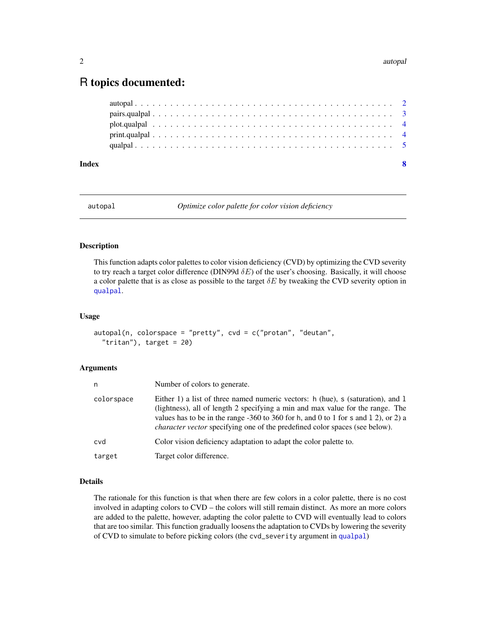#### <span id="page-1-0"></span>2 autopal autopal autopal autopal autopal autopal autopal autopal autopal autopal autopal autopal autopal autopal autopal autopal autopal autopal autopal autopal autopal autopal autopal autopal autopal autopal autopal auto

## R topics documented:

| Index |  |  |  |  |  |  |  |  |  |  |  |  |  |  |  |  |  |  |  |
|-------|--|--|--|--|--|--|--|--|--|--|--|--|--|--|--|--|--|--|--|
|       |  |  |  |  |  |  |  |  |  |  |  |  |  |  |  |  |  |  |  |
|       |  |  |  |  |  |  |  |  |  |  |  |  |  |  |  |  |  |  |  |
|       |  |  |  |  |  |  |  |  |  |  |  |  |  |  |  |  |  |  |  |
|       |  |  |  |  |  |  |  |  |  |  |  |  |  |  |  |  |  |  |  |
|       |  |  |  |  |  |  |  |  |  |  |  |  |  |  |  |  |  |  |  |

autopal *Optimize color palette for color vision deficiency*

#### Description

This function adapts color palettes to color vision deficiency (CVD) by optimizing the CVD severity to try reach a target color difference (DIN99d  $\delta E$ ) of the user's choosing. Basically, it will choose a color palette that is as close as possible to the target  $\delta E$  by tweaking the CVD severity option in [qualpal](#page-4-1).

#### Usage

```
autopal(n, colorspace = "pretty", cvd = c("protan", "deutan","tritan"), target = 20
```
#### Arguments

| n          | Number of colors to generate.                                                                                                                                                                                                                                                                                                                    |
|------------|--------------------------------------------------------------------------------------------------------------------------------------------------------------------------------------------------------------------------------------------------------------------------------------------------------------------------------------------------|
| colorspace | Either 1) a list of three named numeric vectors: h (hue), s (saturation), and 1<br>(lightness), all of length 2 specifying a min and max value for the range. The<br>values has to be in the range $-360$ to 360 for h, and 0 to 1 for s and 1 2), or 2) a<br><i>character vector specifying one of the predefined color spaces (see below).</i> |
| cvd        | Color vision deficiency adaptation to adapt the color palette to.                                                                                                                                                                                                                                                                                |
| target     | Target color difference.                                                                                                                                                                                                                                                                                                                         |

#### Details

The rationale for this function is that when there are few colors in a color palette, there is no cost involved in adapting colors to CVD – the colors will still remain distinct. As more an more colors are added to the palette, however, adapting the color palette to CVD will eventually lead to colors that are too similar. This function gradually loosens the adaptation to CVDs by lowering the severity of CVD to simulate to before picking colors (the cvd\_severity argument in [qualpal](#page-4-1))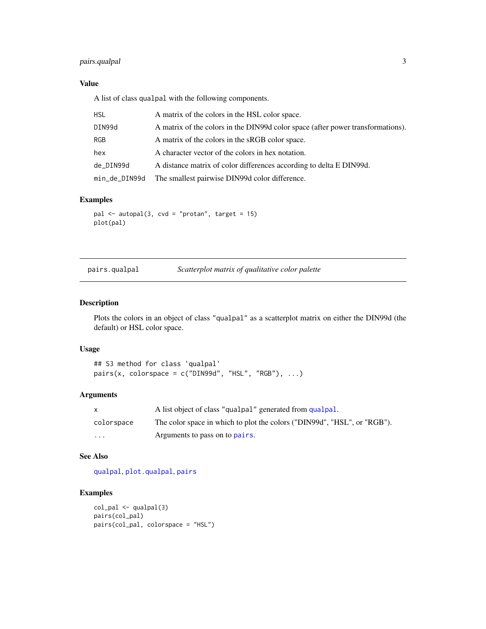#### <span id="page-2-0"></span>pairs.qualpal 3

#### Value

A list of class qualpal with the following components.

| HSL           | A matrix of the colors in the HSL color space.                                  |
|---------------|---------------------------------------------------------------------------------|
| DIN99d        | A matrix of the colors in the DIN99d color space (after power transformations). |
| RGB           | A matrix of the colors in the sRGB color space.                                 |
| hex           | A character vector of the colors in hex notation.                               |
| de DIN99d     | A distance matrix of color differences according to delta E DIN99d.             |
| min_de_DIN99d | The smallest pairwise DIN99d color difference.                                  |

#### Examples

```
pal <- autopal(3, cvd = "protan", target = 15)
plot(pal)
```
<span id="page-2-1"></span>

| pairs.qualpal | Scatterplot matrix of qualitative color palette |  |
|---------------|-------------------------------------------------|--|
|               |                                                 |  |

#### Description

Plots the colors in an object of class "qualpal" as a scatterplot matrix on either the DIN99d (the default) or HSL color space.

#### Usage

```
## S3 method for class 'qualpal'
pairs(x, colorspace = c("DIN99d", "HSL", "RGB"), ...)
```
#### Arguments

| $\mathsf{x}$ | A list object of class "qualpal" generated from qualpal.                 |
|--------------|--------------------------------------------------------------------------|
| colorspace   | The color space in which to plot the colors ("DIN99d", "HSL", or "RGB"). |
| $\cdots$     | Arguments to pass on to pairs.                                           |

#### See Also

[qualpal](#page-4-1), [plot.qualpal](#page-3-1), [pairs](#page-0-0)

#### Examples

```
col_pal <- qualpal(3)
pairs(col_pal)
pairs(col_pal, colorspace = "HSL")
```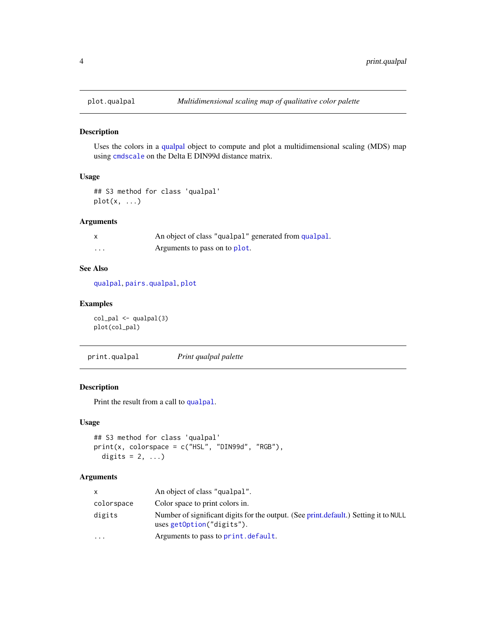<span id="page-3-1"></span><span id="page-3-0"></span>

#### Description

Uses the colors in a [qualpal](#page-4-1) object to compute and plot a multidimensional scaling (MDS) map using [cmdscale](#page-0-0) on the Delta E DIN99d distance matrix.

#### Usage

```
## S3 method for class 'qualpal'
plot(x, \ldots)
```
#### Arguments

| $\mathsf{x}$ | An object of class "qualpal" generated from qualpal. |
|--------------|------------------------------------------------------|
| $\cdot$      | Arguments to pass on to plot.                        |

#### See Also

[qualpal](#page-4-1), [pairs.qualpal](#page-2-1), [plot](#page-0-0)

#### Examples

col\_pal <- qualpal(3) plot(col\_pal)

print.qualpal *Print qualpal palette*

### Description

Print the result from a call to [qualpal](#page-4-1).

#### Usage

```
## S3 method for class 'qualpal'
print(x, colorspace = c("HSL", "DIN99d", "RGB"),
 digits = 2, ...)
```
#### Arguments

| X          | An object of class "qualpal".                                                                                     |
|------------|-------------------------------------------------------------------------------------------------------------------|
| colorspace | Color space to print colors in.                                                                                   |
| digits     | Number of significant digits for the output. (See print.default.) Setting it to NULL<br>uses getOption("digits"). |
| $\cdots$   | Arguments to pass to print. default.                                                                              |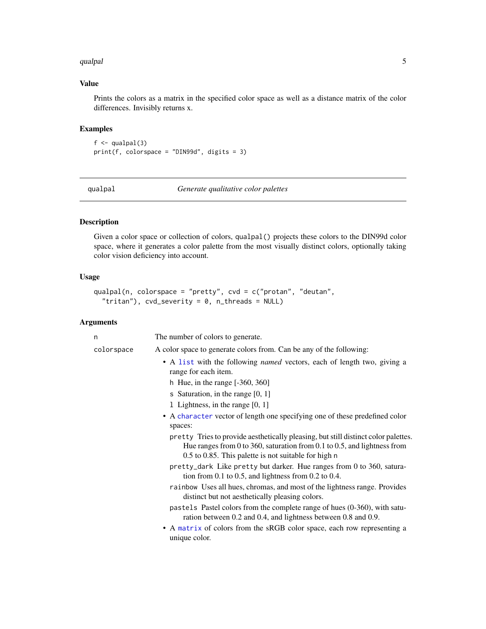#### <span id="page-4-0"></span>qualpal 5

#### Value

Prints the colors as a matrix in the specified color space as well as a distance matrix of the color differences. Invisibly returns x.

#### Examples

 $f \leftarrow \text{qualpal}(3)$ print(f, colorspace = "DIN99d", digits = 3)

<span id="page-4-1"></span>qualpal *Generate qualitative color palettes*

#### Description

Given a color space or collection of colors, qualpal() projects these colors to the DIN99d color space, where it generates a color palette from the most visually distinct colors, optionally taking color vision deficiency into account.

#### Usage

```
qualpal(n, colorspace = "pretty", cvd = c("protan", "deutan",
  "tritan"), cvd_severity = 0, n_threads = NULL)
```
#### Arguments

| n          | The number of colors to generate.                                                                                                                                                                                      |
|------------|------------------------------------------------------------------------------------------------------------------------------------------------------------------------------------------------------------------------|
| colorspace | A color space to generate colors from. Can be any of the following:                                                                                                                                                    |
|            | • A list with the following <i>named</i> vectors, each of length two, giving a<br>range for each item.                                                                                                                 |
|            | h Hue, in the range $[-360, 360]$                                                                                                                                                                                      |
|            | s Saturation, in the range $[0, 1]$                                                                                                                                                                                    |
|            | 1 Lightness, in the range [0, 1]                                                                                                                                                                                       |
|            | • A character vector of length one specifying one of these predefined color                                                                                                                                            |
|            | spaces:                                                                                                                                                                                                                |
|            | pretty Tries to provide aesthetically pleasing, but still distinct color palettes.<br>Hue ranges from 0 to 360, saturation from 0.1 to 0.5, and lightness from<br>0.5 to 0.85. This palette is not suitable for high n |
|            | pretty_dark Like pretty but darker. Hue ranges from 0 to 360, satura-<br>tion from 0.1 to 0.5, and lightness from 0.2 to 0.4.                                                                                          |
|            | rainbow Uses all hues, chromas, and most of the lightness range. Provides<br>distinct but not aesthetically pleasing colors.                                                                                           |
|            | pastels Pastel colors from the complete range of hues (0-360), with satu-<br>ration between 0.2 and 0.4, and lightness between 0.8 and 0.9.                                                                            |
|            | • A matrix of colors from the sRGB color space, each row representing a<br>unique color.                                                                                                                               |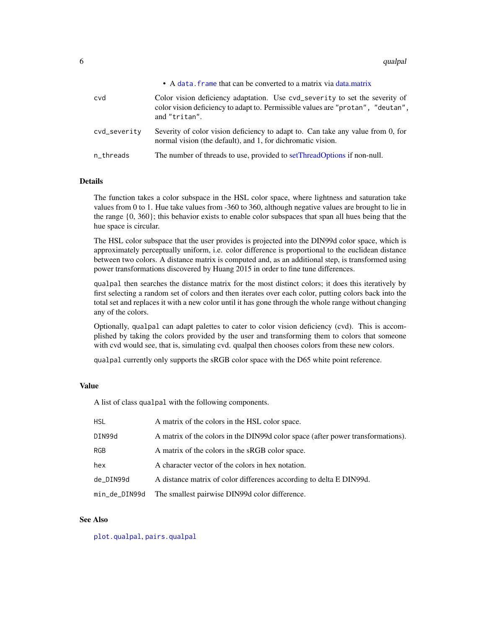<span id="page-5-0"></span>6 qualpal to the control of the control of the control of the control of the control of the control of the control of the control of the control of the control of the control of the control of the control of the control of

|              | • A data, frame that can be converted to a matrix via data matrix                                                                                                               |
|--------------|---------------------------------------------------------------------------------------------------------------------------------------------------------------------------------|
| cvd          | Color vision deficiency adaptation. Use cvd_severity to set the severity of<br>color vision deficiency to adapt to. Permissible values are "protan", "deutan",<br>and "tritan". |
| cvd_severity | Severity of color vision deficiency to adapt to. Can take any value from 0, for<br>normal vision (the default), and 1, for dichromatic vision.                                  |
| n_threads    | The number of threads to use, provided to setThreadOptions if non-null.                                                                                                         |

#### Details

The function takes a color subspace in the HSL color space, where lightness and saturation take values from 0 to 1. Hue take values from -360 to 360, although negative values are brought to lie in the range {0, 360}; this behavior exists to enable color subspaces that span all hues being that the hue space is circular.

The HSL color subspace that the user provides is projected into the DIN99d color space, which is approximately perceptually uniform, i.e. color difference is proportional to the euclidean distance between two colors. A distance matrix is computed and, as an additional step, is transformed using power transformations discovered by Huang 2015 in order to fine tune differences.

qualpal then searches the distance matrix for the most distinct colors; it does this iteratively by first selecting a random set of colors and then iterates over each color, putting colors back into the total set and replaces it with a new color until it has gone through the whole range without changing any of the colors.

Optionally, qualpal can adapt palettes to cater to color vision deficiency (cvd). This is accomplished by taking the colors provided by the user and transforming them to colors that someone with cvd would see, that is, simulating cvd. qualpal then chooses colors from these new colors.

qualpal currently only supports the sRGB color space with the D65 white point reference.

#### Value

A list of class qualpal with the following components.

| <b>HSL</b>    | A matrix of the colors in the HSL color space.                                  |
|---------------|---------------------------------------------------------------------------------|
| DIN99d        | A matrix of the colors in the DIN99d color space (after power transformations). |
| RGB           | A matrix of the colors in the sRGB color space.                                 |
| hex           | A character vector of the colors in hex notation.                               |
| de_DIN99d     | A distance matrix of color differences according to delta E DIN99d.             |
| min_de_DIN99d | The smallest pairwise DIN99d color difference.                                  |

#### See Also

[plot.qualpal](#page-3-1), [pairs.qualpal](#page-2-1)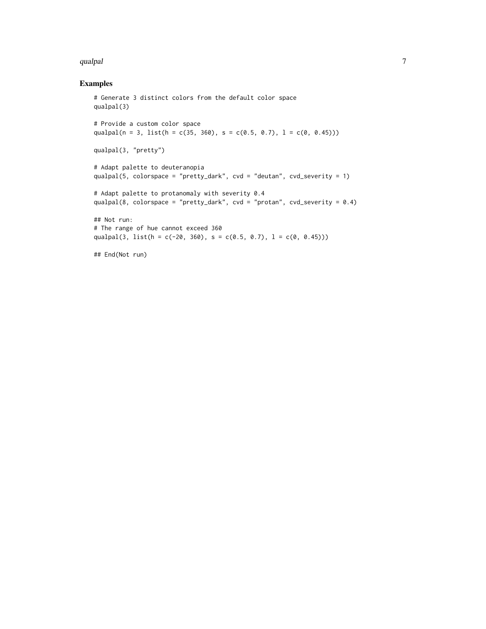#### qualpal  $\overline{\phantom{a}}$  7 and  $\overline{\phantom{a}}$  7 and  $\overline{\phantom{a}}$  7 and  $\overline{\phantom{a}}$  7 and  $\overline{\phantom{a}}$  7 and  $\overline{\phantom{a}}$  7 and  $\overline{\phantom{a}}$  7 and  $\overline{\phantom{a}}$  7 and  $\overline{\phantom{a}}$  7 and  $\overline{\phantom{a}}$  7 and  $\overline{\phantom{a}}$  7 and  $\overline{\phantom{a}}$  7 an

#### Examples

```
# Generate 3 distinct colors from the default color space
qualpal(3)
# Provide a custom color space
qualpal(n = 3, list(h = c(35, 360), s = c(0.5, 0.7), l = c(0, 0.45)))
qualpal(3, "pretty")
# Adapt palette to deuteranopia
qualpal(5, colorspace = "pretty_dark", cvd = "deutan", cvd_severity = 1)
# Adapt palette to protanomaly with severity 0.4
qualpal(8, colorspace = "pretty_dark", cvd = "protan", cvd_severity = 0.4)
## Not run:
# The range of hue cannot exceed 360
qualpal(3, list(h = c(-20, 360), s = c(0.5, 0.7), l = c(0, 0.45)))
## End(Not run)
```